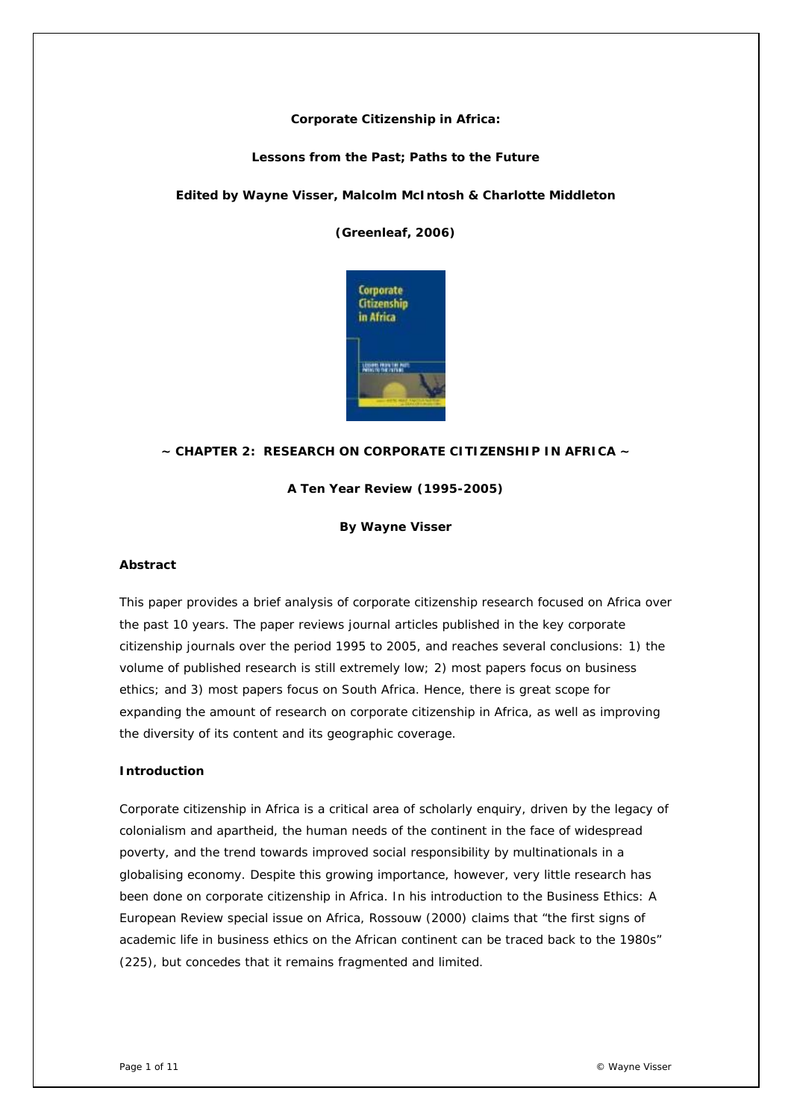### **Corporate Citizenship in Africa:**

### **Lessons from the Past; Paths to the Future**

### *Edited by Wayne Visser, Malcolm McIntosh & Charlotte Middleton*

*(Greenleaf, 2006)* 



### **~ CHAPTER 2: RESEARCH ON CORPORATE CITIZENSHIP IN AFRICA ~**

**A Ten Year Review (1995-2005)** 

**By Wayne Visser** 

### *Abstract*

This paper provides a brief analysis of corporate citizenship research focused on Africa over the past 10 years. The paper reviews journal articles published in the key corporate citizenship journals over the period 1995 to 2005, and reaches several conclusions: 1) the volume of published research is still extremely low; 2) most papers focus on business ethics; and 3) most papers focus on South Africa. Hence, there is great scope for expanding the amount of research on corporate citizenship in Africa, as well as improving the diversity of its content and its geographic coverage.

#### *Introduction*

Corporate citizenship in Africa is a critical area of scholarly enquiry, driven by the legacy of colonialism and apartheid, the human needs of the continent in the face of widespread poverty, and the trend towards improved social responsibility by multinationals in a globalising economy. Despite this growing importance, however, very little research has been done on corporate citizenship in Africa. In his introduction to the Business Ethics: A European Review special issue on Africa, Rossouw (2000) claims that "the first signs of academic life in business ethics on the African continent can be traced back to the 1980s" (225), but concedes that it remains fragmented and limited.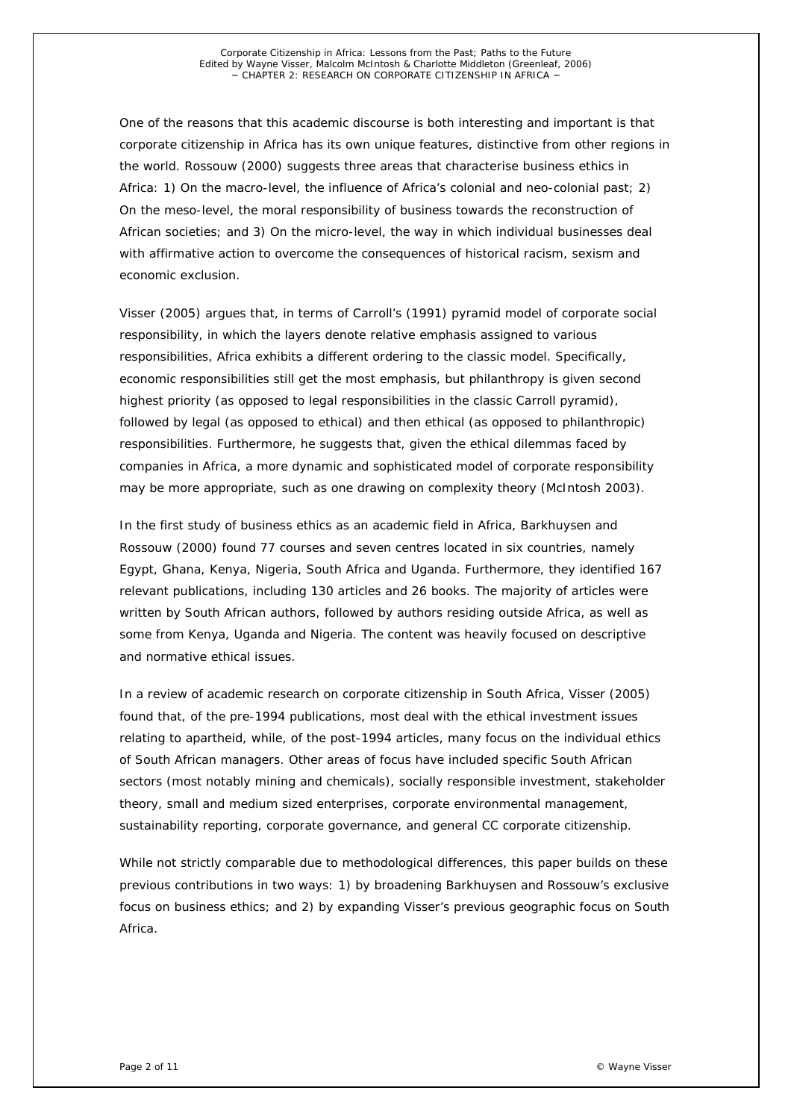One of the reasons that this academic discourse is both interesting and important is that corporate citizenship in Africa has its own unique features, distinctive from other regions in the world. Rossouw (2000) suggests three areas that characterise business ethics in Africa: 1) On the macro-level, the influence of Africa's colonial and neo-colonial past; 2) On the meso-level, the moral responsibility of business towards the reconstruction of African societies; and 3) On the micro-level, the way in which individual businesses deal with affirmative action to overcome the consequences of historical racism, sexism and economic exclusion.

Visser (2005) argues that, in terms of Carroll's (1991) pyramid model of corporate social responsibility, in which the layers denote relative emphasis assigned to various responsibilities, Africa exhibits a different ordering to the classic model. Specifically, economic responsibilities still get the most emphasis, but philanthropy is given second highest priority (as opposed to legal responsibilities in the classic Carroll pyramid), followed by legal (as opposed to ethical) and then ethical (as opposed to philanthropic) responsibilities. Furthermore, he suggests that, given the ethical dilemmas faced by companies in Africa, a more dynamic and sophisticated model of corporate responsibility may be more appropriate, such as one drawing on complexity theory (McIntosh 2003).

In the first study of business ethics as an academic field in Africa, Barkhuysen and Rossouw (2000) found 77 courses and seven centres located in six countries, namely Egypt, Ghana, Kenya, Nigeria, South Africa and Uganda. Furthermore, they identified 167 relevant publications, including 130 articles and 26 books. The majority of articles were written by South African authors, followed by authors residing outside Africa, as well as some from Kenya, Uganda and Nigeria. The content was heavily focused on descriptive and normative ethical issues.

In a review of academic research on corporate citizenship in South Africa, Visser (2005) found that, of the pre-1994 publications, most deal with the ethical investment issues relating to apartheid, while, of the post-1994 articles, many focus on the individual ethics of South African managers. Other areas of focus have included specific South African sectors (most notably mining and chemicals), socially responsible investment, stakeholder theory, small and medium sized enterprises, corporate environmental management, sustainability reporting, corporate governance, and general CC corporate citizenship.

While not strictly comparable due to methodological differences, this paper builds on these previous contributions in two ways: 1) by broadening Barkhuysen and Rossouw's exclusive focus on business ethics; and 2) by expanding Visser's previous geographic focus on South Africa.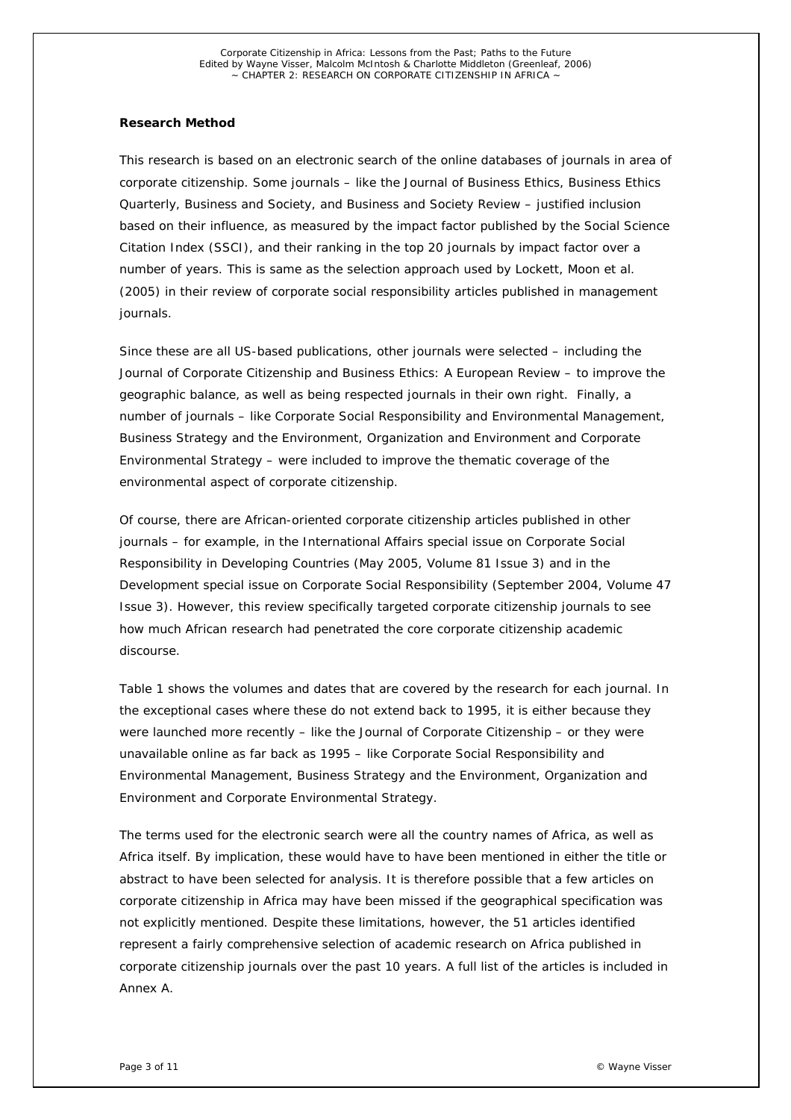### *Research Method*

This research is based on an electronic search of the online databases of journals in area of corporate citizenship. Some journals – like the Journal of Business Ethics, Business Ethics Quarterly, Business and Society, and Business and Society Review – justified inclusion based on their influence, as measured by the impact factor published by the Social Science Citation Index (SSCI), and their ranking in the top 20 journals by impact factor over a number of years. This is same as the selection approach used by Lockett, Moon et al. (2005) in their review of corporate social responsibility articles published in management journals.

Since these are all US-based publications, other journals were selected – including the Journal of Corporate Citizenship and Business Ethics: A European Review – to improve the geographic balance, as well as being respected journals in their own right. Finally, a number of journals – like Corporate Social Responsibility and Environmental Management, Business Strategy and the Environment, Organization and Environment and Corporate Environmental Strategy – were included to improve the thematic coverage of the environmental aspect of corporate citizenship.

Of course, there are African-oriented corporate citizenship articles published in other journals – for example, in the International Affairs special issue on Corporate Social Responsibility in Developing Countries (May 2005, Volume 81 Issue 3) and in the Development special issue on Corporate Social Responsibility (September 2004, Volume 47 Issue 3). However, this review specifically targeted corporate citizenship journals to see how much African research had penetrated the core corporate citizenship academic discourse.

Table 1 shows the volumes and dates that are covered by the research for each journal. In the exceptional cases where these do not extend back to 1995, it is either because they were launched more recently – like the Journal of Corporate Citizenship – or they were unavailable online as far back as 1995 – like Corporate Social Responsibility and Environmental Management, Business Strategy and the Environment, Organization and Environment and Corporate Environmental Strategy.

The terms used for the electronic search were all the country names of Africa, as well as Africa itself. By implication, these would have to have been mentioned in either the title or abstract to have been selected for analysis. It is therefore possible that a few articles on corporate citizenship in Africa may have been missed if the geographical specification was not explicitly mentioned. Despite these limitations, however, the 51 articles identified represent a fairly comprehensive selection of academic research on Africa published in corporate citizenship journals over the past 10 years. A full list of the articles is included in Annex A.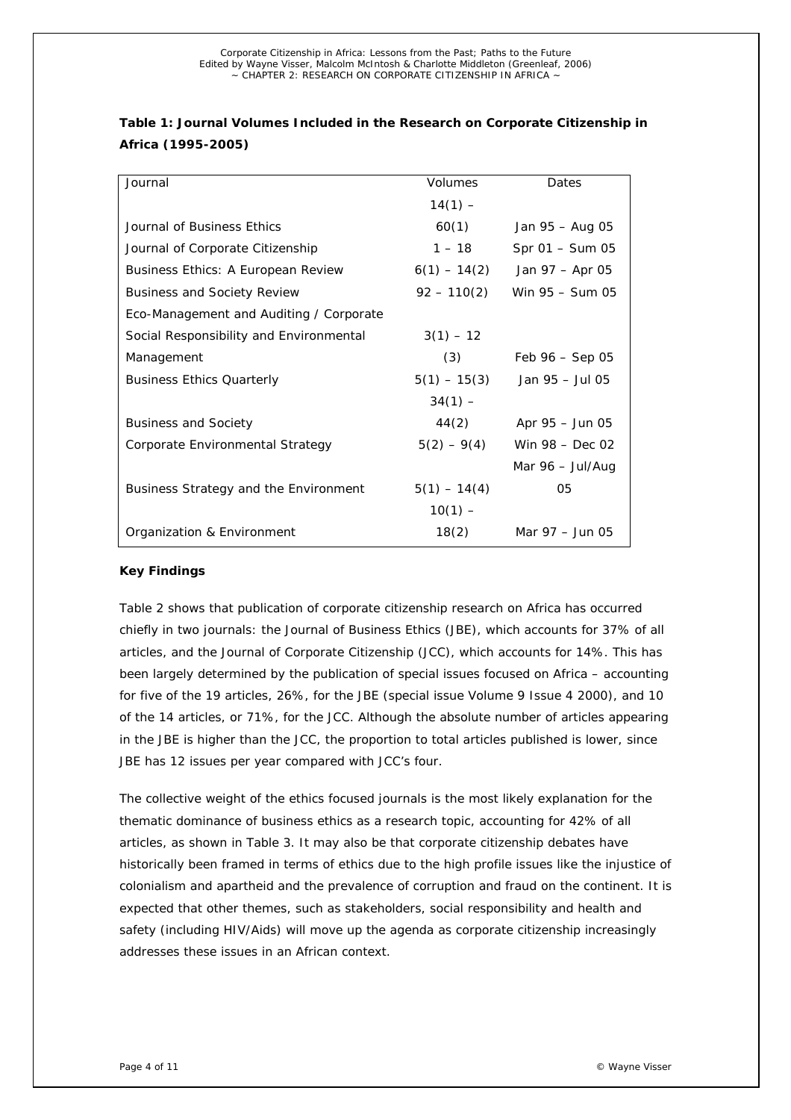| Journal                                   | <i>Volumes</i> | Dates                                    |
|-------------------------------------------|----------------|------------------------------------------|
|                                           | $14(1) -$      |                                          |
| Journal of Business Ethics                | 60(1)          | Jan 95 – Aug 05                          |
| Journal of Corporate Citizenship          | $1 - 18$       | Spr 01 - Sum 05                          |
| <b>Business Ethics: A European Review</b> | $6(1) - 14(2)$ | Jan 97 – Apr 05                          |
| <b>Business and Society Review</b>        | $92 - 110(2)$  | Win 95 - Sum 05                          |
| Eco-Management and Auditing / Corporate   |                |                                          |
| Social Responsibility and Environmental   | $3(1) - 12$    |                                          |
| Management                                | (3)            | Feb $96 -$ Sep 05                        |
| <b>Business Ethics Quarterly</b>          | $5(1) - 15(3)$ | Jan 95 - Jul 05                          |
|                                           | $34(1) -$      |                                          |
| <b>Business and Society</b>               | 44(2)          | Apr 95 - Jun 05                          |
| Corporate Environmental Strategy          | $5(2) - 9(4)$  | Win $98 - Dec 02$                        |
|                                           |                | Mar $96 - \frac{\text{Jul}}{\text{Aug}}$ |
| Business Strategy and the Environment     | $5(1) - 14(4)$ | 05                                       |
|                                           | $10(1) -$      |                                          |
| Organization & Environment                | 18(2)          | Mar 97 - Jun 05                          |

# **Table 1: Journal Volumes Included in the Research on Corporate Citizenship in Africa (1995-2005)**

### *Key Findings*

Table 2 shows that publication of corporate citizenship research on Africa has occurred chiefly in two journals: the Journal of Business Ethics (JBE), which accounts for 37% of all articles, and the Journal of Corporate Citizenship (JCC), which accounts for 14%. This has been largely determined by the publication of special issues focused on Africa – accounting for five of the 19 articles, 26%, for the JBE (special issue Volume 9 Issue 4 2000), and 10 of the 14 articles, or 71%, for the JCC. Although the absolute number of articles appearing in the JBE is higher than the JCC, the proportion to total articles published is lower, since JBE has 12 issues per year compared with JCC's four.

The collective weight of the ethics focused journals is the most likely explanation for the thematic dominance of business ethics as a research topic, accounting for 42% of all articles, as shown in Table 3. It may also be that corporate citizenship debates have historically been framed in terms of ethics due to the high profile issues like the injustice of colonialism and apartheid and the prevalence of corruption and fraud on the continent. It is expected that other themes, such as stakeholders, social responsibility and health and safety (including HIV/Aids) will move up the agenda as corporate citizenship increasingly addresses these issues in an African context.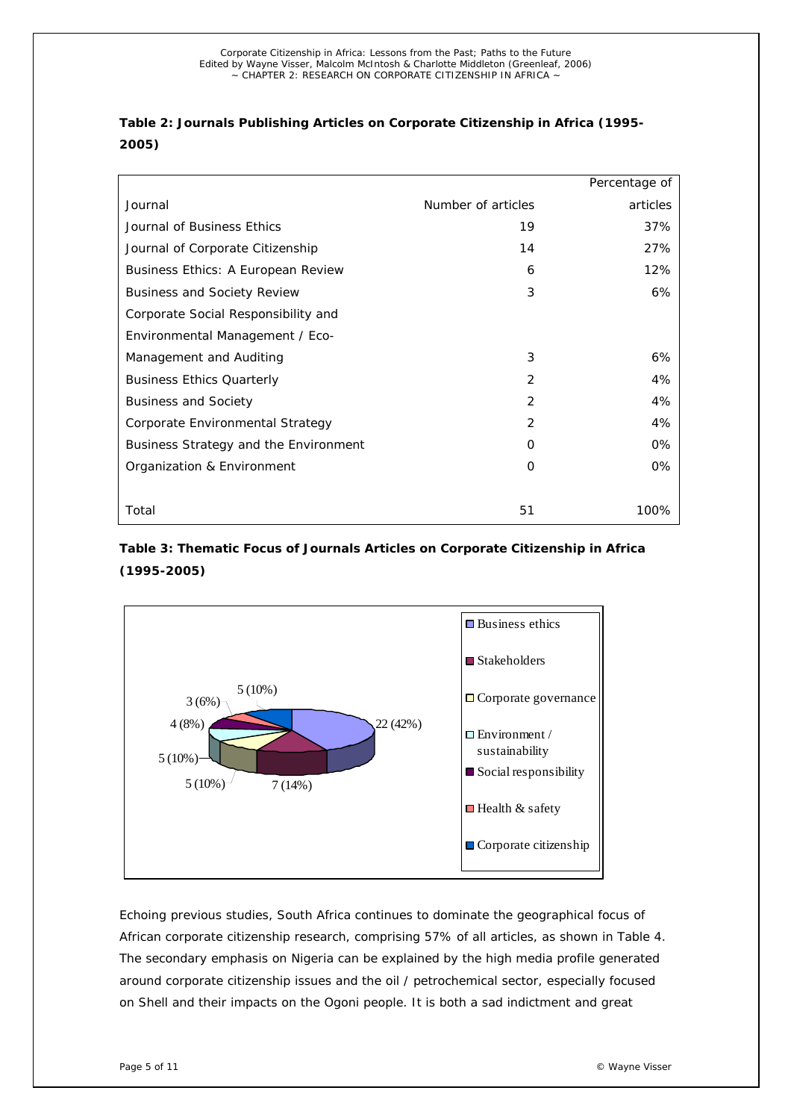# **Table 2: Journals Publishing Articles on Corporate Citizenship in Africa (1995- 2005)**

|                                       |                    | Percentage of |
|---------------------------------------|--------------------|---------------|
| Journal                               | Number of articles | articles      |
| Journal of Business Ethics            | 19                 | 37%           |
| Journal of Corporate Citizenship      | 14                 | 27%           |
| Business Ethics: A European Review    | 6                  | 12%           |
| <b>Business and Society Review</b>    | 3                  | 6%            |
| Corporate Social Responsibility and   |                    |               |
| Environmental Management / Eco-       |                    |               |
| Management and Auditing               | 3                  | 6%            |
| <b>Business Ethics Quarterly</b>      | 2                  | 4%            |
| <b>Business and Society</b>           | 2                  | 4%            |
| Corporate Environmental Strategy      | 2                  | 4%            |
| Business Strategy and the Environment | O                  | 0%            |
| Organization & Environment            | $\Omega$           | 0%            |
|                                       |                    |               |
| Total                                 | 51                 | 100%          |

# **Table 3: Thematic Focus of Journals Articles on Corporate Citizenship in Africa (1995-2005)**



Echoing previous studies, South Africa continues to dominate the geographical focus of African corporate citizenship research, comprising 57% of all articles, as shown in Table 4. The secondary emphasis on Nigeria can be explained by the high media profile generated around corporate citizenship issues and the oil / petrochemical sector, especially focused on Shell and their impacts on the Ogoni people. It is both a sad indictment and great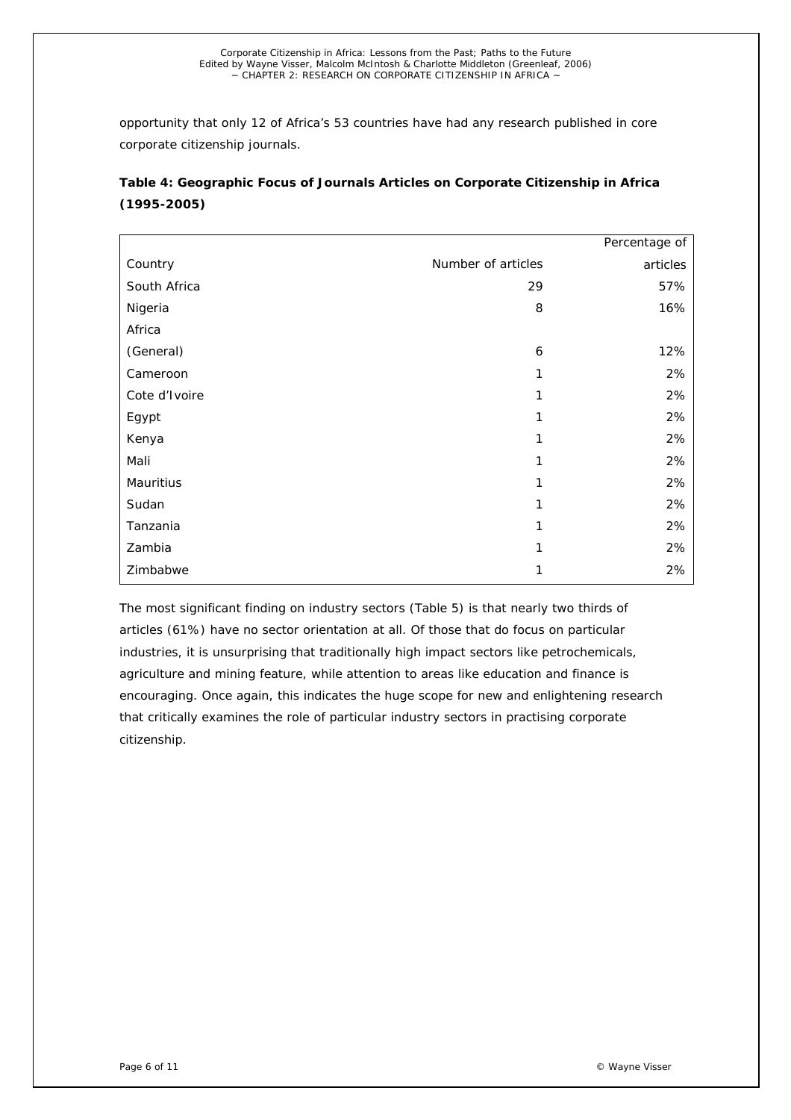opportunity that only 12 of Africa's 53 countries have had any research published in core corporate citizenship journals.

| Table 4: Geographic Focus of Journals Articles on Corporate Citizenship in Africa |
|-----------------------------------------------------------------------------------|
| $(1995 - 2005)$                                                                   |

|               |                    | Percentage of |
|---------------|--------------------|---------------|
| Country       | Number of articles | articles      |
| South Africa  | 29                 | 57%           |
| Nigeria       | 8                  | 16%           |
| Africa        |                    |               |
| (General)     | 6                  | 12%           |
| Cameroon      | 1                  | 2%            |
| Cote d'Ivoire | 1                  | 2%            |
| Egypt         | 1                  | 2%            |
| Kenya         | 1                  | 2%            |
| Mali          | 1                  | 2%            |
| Mauritius     | 1                  | 2%            |
| Sudan         | 1                  | 2%            |
| Tanzania      | 1                  | 2%            |
| Zambia        | 1                  | 2%            |
| Zimbabwe      | 1                  | 2%            |

The most significant finding on industry sectors (Table 5) is that nearly two thirds of articles (61%) have no sector orientation at all. Of those that do focus on particular industries, it is unsurprising that traditionally high impact sectors like petrochemicals, agriculture and mining feature, while attention to areas like education and finance is encouraging. Once again, this indicates the huge scope for new and enlightening research that critically examines the role of particular industry sectors in practising corporate citizenship.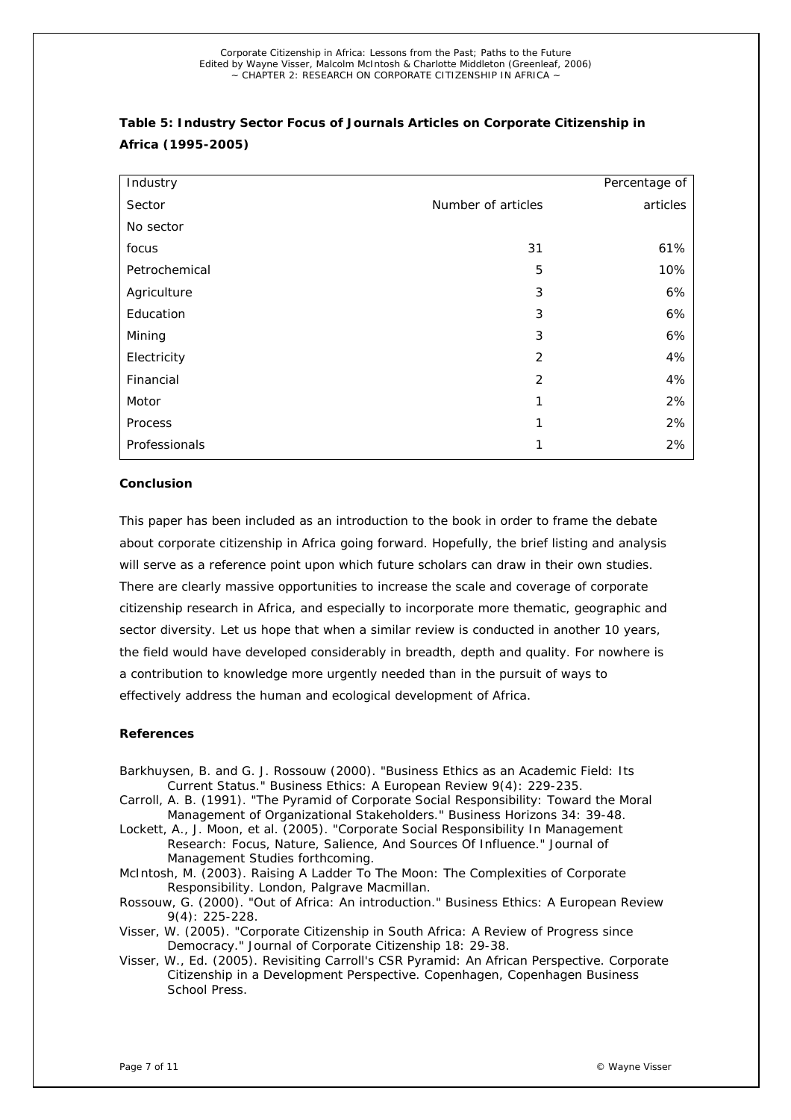| Industry      |                    | Percentage of |
|---------------|--------------------|---------------|
| Sector        | Number of articles | articles      |
| No sector     |                    |               |
| focus         | 31                 | 61%           |
| Petrochemical | 5                  | 10%           |
| Agriculture   | 3                  | 6%            |
| Education     | 3                  | 6%            |
| Mining        | 3                  | 6%            |
| Electricity   | 2                  | 4%            |
| Financial     | 2                  | 4%            |
| Motor         | 1                  | 2%            |
| Process       | 1                  | 2%            |
| Professionals | 1                  | 2%            |

# *Table 5: Industry Sector Focus of Journals Articles on Corporate Citizenship in Africa (1995-2005)*

#### *Conclusion*

This paper has been included as an introduction to the book in order to frame the debate about corporate citizenship in Africa going forward. Hopefully, the brief listing and analysis will serve as a reference point upon which future scholars can draw in their own studies. There are clearly massive opportunities to increase the scale and coverage of corporate citizenship research in Africa, and especially to incorporate more thematic, geographic and sector diversity. Let us hope that when a similar review is conducted in another 10 years, the field would have developed considerably in breadth, depth and quality. For nowhere is a contribution to knowledge more urgently needed than in the pursuit of ways to effectively address the human and ecological development of Africa.

### *References*

- Barkhuysen, B. and G. J. Rossouw (2000). "Business Ethics as an Academic Field: Its Current Status." Business Ethics: A European Review 9(4): 229-235.
- Carroll, A. B. (1991). "The Pyramid of Corporate Social Responsibility: Toward the Moral Management of Organizational Stakeholders." Business Horizons 34: 39-48.
- Lockett, A., J. Moon, et al. (2005). "Corporate Social Responsibility In Management Research: Focus, Nature, Salience, And Sources Of Influence." Journal of Management Studies forthcoming.
- McIntosh, M. (2003). Raising A Ladder To The Moon: The Complexities of Corporate Responsibility. London, Palgrave Macmillan.
- Rossouw, G. (2000). "Out of Africa: An introduction." Business Ethics: A European Review 9(4): 225-228.
- Visser, W. (2005). "Corporate Citizenship in South Africa: A Review of Progress since Democracy." Journal of Corporate Citizenship 18: 29-38.
- Visser, W., Ed. (2005). Revisiting Carroll's CSR Pyramid: An African Perspective. Corporate Citizenship in a Development Perspective. Copenhagen, Copenhagen Business School Press.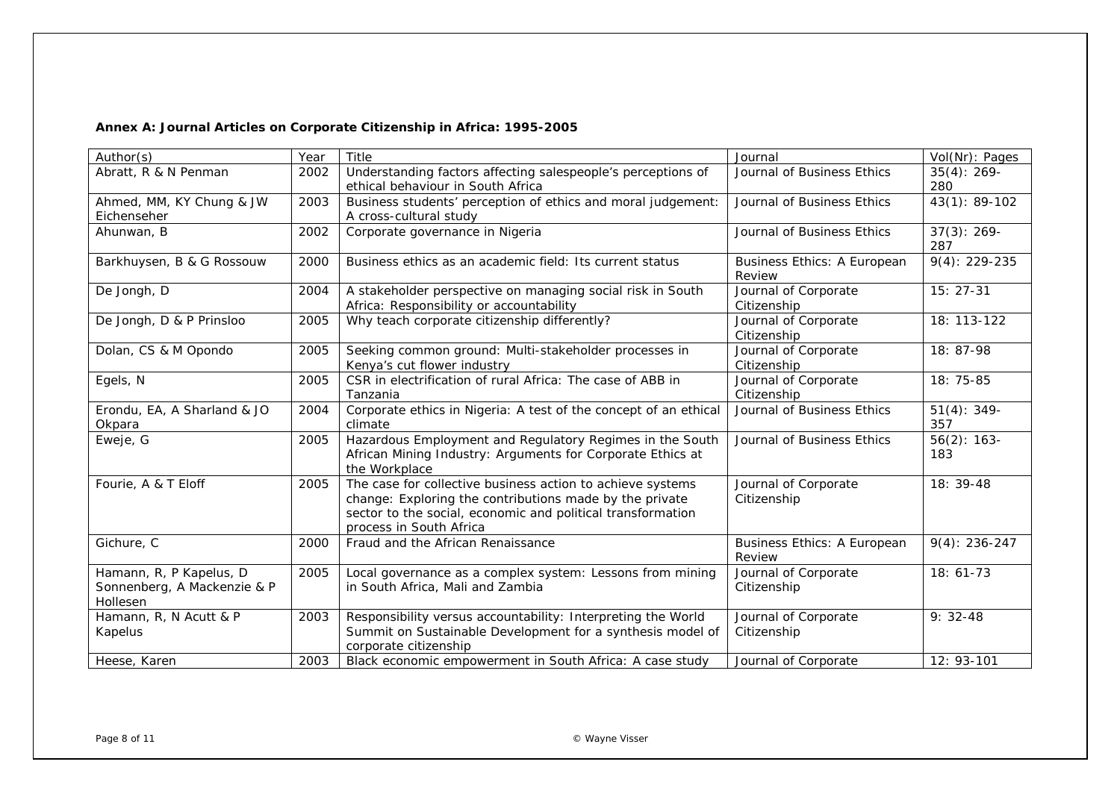## *Annex A: Journal Articles on Corporate Citizenship in Africa: 1995-2005*

| Author(s)                                                          | Year | Title                                                                                                                                                                                                           | Journal                               | Vol(Nr): Pages        |
|--------------------------------------------------------------------|------|-----------------------------------------------------------------------------------------------------------------------------------------------------------------------------------------------------------------|---------------------------------------|-----------------------|
| Abratt, R & N Penman                                               | 2002 | Understanding factors affecting salespeople's perceptions of<br>ethical behaviour in South Africa                                                                                                               | Journal of Business Ethics            | $35(4): 269-$<br>280  |
| Ahmed, MM, KY Chung & JW<br>Eichenseher                            | 2003 | Business students' perception of ethics and moral judgement:<br>A cross-cultural study                                                                                                                          | Journal of Business Ethics            | 43(1): 89-102         |
| Ahunwan, B                                                         | 2002 | Corporate governance in Nigeria                                                                                                                                                                                 | Journal of Business Ethics            | $37(3): 269-$<br>287  |
| Barkhuysen, B & G Rossouw                                          | 2000 | Business ethics as an academic field: Its current status                                                                                                                                                        | Business Ethics: A European<br>Review | $9(4): 229-235$       |
| De Jongh, D                                                        | 2004 | A stakeholder perspective on managing social risk in South<br>Africa: Responsibility or accountability                                                                                                          | Journal of Corporate<br>Citizenship   | $15:27-31$            |
| De Jongh, D & P Prinsloo                                           | 2005 | Why teach corporate citizenship differently?                                                                                                                                                                    | Journal of Corporate<br>Citizenship   | 18: 113-122           |
| Dolan, CS & M Opondo                                               | 2005 | Seeking common ground: Multi-stakeholder processes in<br>Kenya's cut flower industry                                                                                                                            | Journal of Corporate<br>Citizenship   | 18: 87-98             |
| Egels, N                                                           | 2005 | CSR in electrification of rural Africa: The case of ABB in<br>Tanzania                                                                                                                                          | Journal of Corporate<br>Citizenship   | $18:75-85$            |
| Erondu, EA, A Sharland & JO<br>Okpara                              | 2004 | Corporate ethics in Nigeria: A test of the concept of an ethical<br>climate                                                                                                                                     | Journal of Business Ethics            | $51(4): 349-$<br>357  |
| Eweje, G                                                           | 2005 | Hazardous Employment and Regulatory Regimes in the South<br>African Mining Industry: Arguments for Corporate Ethics at<br>the Workplace                                                                         | Journal of Business Ethics            | $56(2)$ : 163-<br>183 |
| Fourie, A & T Eloff                                                | 2005 | The case for collective business action to achieve systems<br>change: Exploring the contributions made by the private<br>sector to the social, economic and political transformation<br>process in South Africa | Journal of Corporate<br>Citizenship   | 18: 39-48             |
| Gichure, C                                                         | 2000 | Fraud and the African Renaissance                                                                                                                                                                               | Business Ethics: A European<br>Review | $9(4): 236 - 247$     |
| Hamann, R, P Kapelus, D<br>Sonnenberg, A Mackenzie & P<br>Hollesen | 2005 | Local governance as a complex system: Lessons from mining<br>in South Africa, Mali and Zambia                                                                                                                   | Journal of Corporate<br>Citizenship   | $18:61-73$            |
| Hamann, R, N Acutt & P<br>Kapelus                                  | 2003 | Responsibility versus accountability: Interpreting the World<br>Summit on Sustainable Development for a synthesis model of<br>corporate citizenship                                                             | Journal of Corporate<br>Citizenship   | $9:32-48$             |
| Heese, Karen                                                       | 2003 | Black economic empowerment in South Africa: A case study                                                                                                                                                        | Journal of Corporate                  | 12: 93-101            |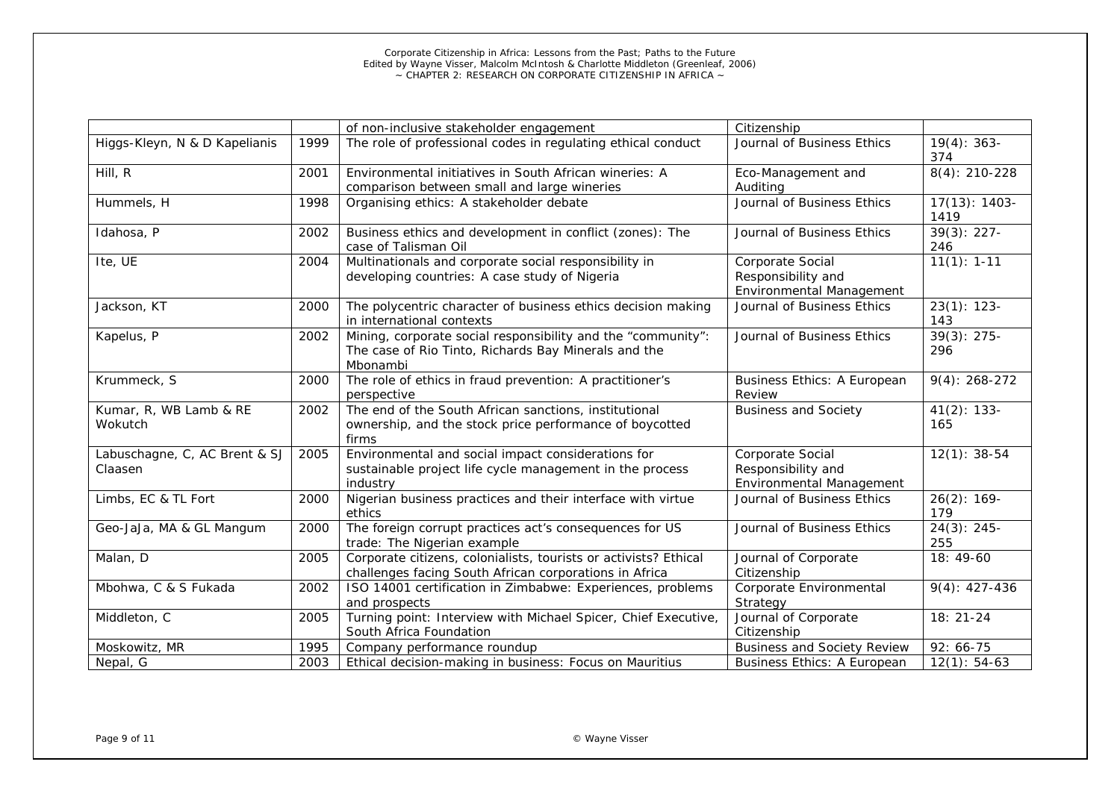|                                          |      | of non-inclusive stakeholder engagement                                                                                          | Citizenship                                                        |                          |
|------------------------------------------|------|----------------------------------------------------------------------------------------------------------------------------------|--------------------------------------------------------------------|--------------------------|
| Higgs-Kleyn, N & D Kapelianis            | 1999 | The role of professional codes in regulating ethical conduct                                                                     | Journal of Business Ethics                                         | $19(4): 363-$<br>374     |
| Hill, R                                  | 2001 | Environmental initiatives in South African wineries: A<br>comparison between small and large wineries                            | Eco-Management and<br>Auditing                                     | $8(4): 210-228$          |
| Hummels, H                               | 1998 | Organising ethics: A stakeholder debate                                                                                          | Journal of Business Ethics                                         | $17(13): 1403 -$<br>1419 |
| Idahosa, P                               | 2002 | Business ethics and development in conflict (zones): The<br>case of Talisman Oil                                                 | Journal of Business Ethics                                         | $39(3): 227 -$<br>246    |
| Ite, UE                                  | 2004 | Multinationals and corporate social responsibility in<br>developing countries: A case study of Nigeria                           | Corporate Social<br>Responsibility and<br>Environmental Management | $11(1): 1-11$            |
| Jackson, KT                              | 2000 | The polycentric character of business ethics decision making<br>in international contexts                                        | Journal of Business Ethics                                         | $23(1): 123 -$<br>143    |
| Kapelus, P                               | 2002 | Mining, corporate social responsibility and the "community":<br>The case of Rio Tinto, Richards Bay Minerals and the<br>Mbonambi | Journal of Business Ethics                                         | $39(3): 275 -$<br>296    |
| Krummeck, S                              | 2000 | The role of ethics in fraud prevention: A practitioner's<br>perspective                                                          | Business Ethics: A European<br>Review                              | $9(4): 268-272$          |
| Kumar, R, WB Lamb & RE<br>Wokutch        | 2002 | The end of the South African sanctions, institutional<br>ownership, and the stock price performance of boycotted<br>firms        | <b>Business and Society</b>                                        | $41(2)$ : 133-<br>165    |
| Labuschagne, C, AC Brent & SJ<br>Claasen | 2005 | Environmental and social impact considerations for<br>sustainable project life cycle management in the process<br>industry       | Corporate Social<br>Responsibility and<br>Environmental Management | $12(1): 38-54$           |
| Limbs, EC & TL Fort                      | 2000 | Nigerian business practices and their interface with virtue<br>ethics                                                            | Journal of Business Ethics                                         | $26(2)$ : 169-<br>179    |
| Geo-JaJa, MA & GL Mangum                 | 2000 | The foreign corrupt practices act's consequences for US<br>trade: The Nigerian example                                           | Journal of Business Ethics                                         | $24(3): 245 -$<br>255    |
| Malan, D                                 | 2005 | Corporate citizens, colonialists, tourists or activists? Ethical<br>challenges facing South African corporations in Africa       | Journal of Corporate<br>Citizenship                                | 18: 49-60                |
| Mbohwa, C & S Fukada                     | 2002 | ISO 14001 certification in Zimbabwe: Experiences, problems<br>and prospects                                                      | Corporate Environmental<br>Strategy                                | $9(4): 427-436$          |
| Middleton, C                             | 2005 | Turning point: Interview with Michael Spicer, Chief Executive,<br>South Africa Foundation                                        | Journal of Corporate<br>Citizenship                                | 18: 21-24                |
| Moskowitz, MR                            | 1995 | Company performance roundup                                                                                                      | <b>Business and Society Review</b>                                 | 92: 66-75                |
| Nepal, G                                 | 2003 | Ethical decision-making in business: Focus on Mauritius                                                                          | <b>Business Ethics: A European</b>                                 | $12(1): 54-63$           |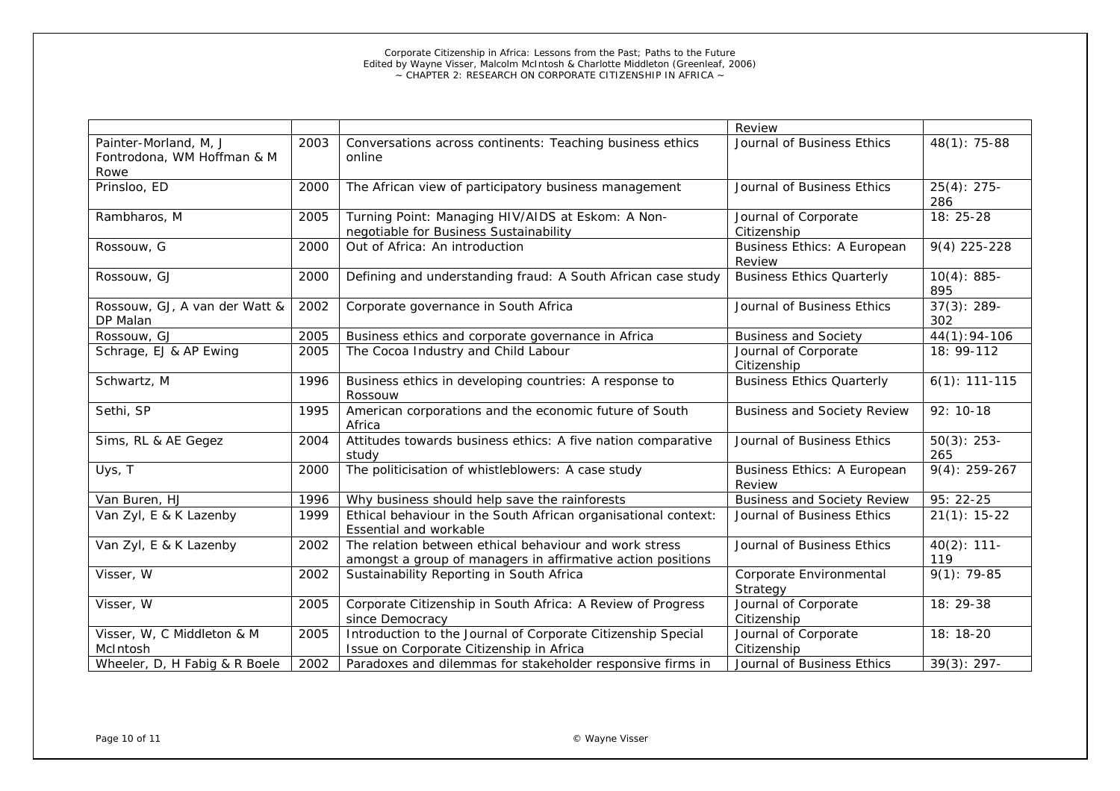|                                                             |      |                                                                                                                       | Review                                |                       |
|-------------------------------------------------------------|------|-----------------------------------------------------------------------------------------------------------------------|---------------------------------------|-----------------------|
| Painter-Morland, M, J<br>Fontrodona, WM Hoffman & M<br>Rowe | 2003 | Conversations across continents: Teaching business ethics<br>online                                                   | Journal of Business Ethics            | $48(1): 75-88$        |
| Prinsloo, ED                                                | 2000 | The African view of participatory business management                                                                 | Journal of Business Ethics            | $25(4): 275-$<br>286  |
| Rambharos, M                                                | 2005 | Turning Point: Managing HIV/AIDS at Eskom: A Non-<br>negotiable for Business Sustainability                           | Journal of Corporate<br>Citizenship   | 18: 25-28             |
| Rossouw, G                                                  | 2000 | Out of Africa: An introduction                                                                                        | Business Ethics: A European<br>Review | 9(4) 225-228          |
| Rossouw, GJ                                                 | 2000 | Defining and understanding fraud: A South African case study                                                          | <b>Business Ethics Quarterly</b>      | $10(4): 885 -$<br>895 |
| Rossouw, GJ, A van der Watt &<br>DP Malan                   | 2002 | Corporate governance in South Africa                                                                                  | Journal of Business Ethics            | $37(3): 289-$<br>302  |
| Rossouw, GJ                                                 | 2005 | Business ethics and corporate governance in Africa                                                                    | <b>Business and Society</b>           | 44(1):94-106          |
| Schrage, EJ & AP Ewing                                      | 2005 | The Cocoa Industry and Child Labour                                                                                   | Journal of Corporate<br>Citizenship   | 18: 99-112            |
| Schwartz, M                                                 | 1996 | Business ethics in developing countries: A response to<br>Rossouw                                                     | <b>Business Ethics Quarterly</b>      | $6(1): 111-115$       |
| Sethi, SP                                                   | 1995 | American corporations and the economic future of South<br>Africa                                                      | <b>Business and Society Review</b>    | 92: 10-18             |
| Sims, RL & AE Gegez                                         | 2004 | Attitudes towards business ethics: A five nation comparative<br>study                                                 | Journal of Business Ethics            | $50(3)$ : 253-<br>265 |
| Uys, T                                                      | 2000 | The politicisation of whistleblowers: A case study                                                                    | Business Ethics: A European<br>Review | $9(4): 259-267$       |
| Van Buren, HJ                                               | 1996 | Why business should help save the rainforests                                                                         | <b>Business and Society Review</b>    | 95: 22-25             |
| Van Zyl, E & K Lazenby                                      | 1999 | Ethical behaviour in the South African organisational context:<br>Essential and workable                              | Journal of Business Ethics            | $21(1): 15-22$        |
| Van Zyl, E & K Lazenby                                      | 2002 | The relation between ethical behaviour and work stress<br>amongst a group of managers in affirmative action positions | Journal of Business Ethics            | $40(2)$ : 111-<br>119 |
| Visser, W                                                   | 2002 | Sustainability Reporting in South Africa                                                                              | Corporate Environmental<br>Strategy   | $9(1): 79-85$         |
| Visser, W                                                   | 2005 | Corporate Citizenship in South Africa: A Review of Progress<br>since Democracy                                        | Journal of Corporate<br>Citizenship   | 18: 29-38             |
| Visser, W, C Middleton & M<br>McIntosh                      | 2005 | Introduction to the Journal of Corporate Citizenship Special<br>Issue on Corporate Citizenship in Africa              | Journal of Corporate<br>Citizenship   | 18: 18-20             |
| Wheeler, D, H Fabig & R Boele                               | 2002 | Paradoxes and dilemmas for stakeholder responsive firms in                                                            | Journal of Business Ethics            | $39(3): 297 -$        |